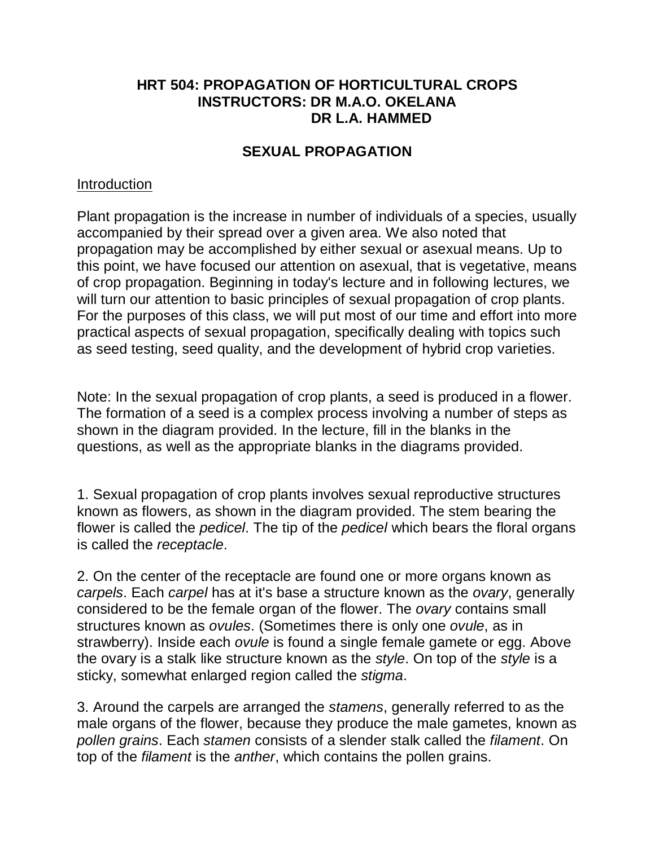## **HRT 504: PROPAGATION OF HORTICULTURAL CROPS INSTRUCTORS: DR M.A.O. OKELANA DR L.A. HAMMED**

## **SEXUAL PROPAGATION**

## **Introduction**

Plant propagation is the increase in number of individuals of a species, usually accompanied by their spread over a given area. We also noted that propagation may be accomplished by either sexual or asexual means. Up to this point, we have focused our attention on asexual, that is vegetative, means of crop propagation. Beginning in today's lecture and in following lectures, we will turn our attention to basic principles of sexual propagation of crop plants. For the purposes of this class, we will put most of our time and effort into more practical aspects of sexual propagation, specifically dealing with topics such as seed testing, seed quality, and the development of hybrid crop varieties.

Note: In the sexual propagation of crop plants, a seed is produced in a flower. The formation of a seed is a complex process involving a number of steps as shown in the diagram provided. In the lecture, fill in the blanks in the questions, as well as the appropriate blanks in the diagrams provided.

1. Sexual propagation of crop plants involves sexual reproductive structures known as flowers, as shown in the diagram provided. The stem bearing the flower is called the *pedicel*. The tip of the *pedicel* which bears the floral organs is called the *receptacle*.

2. On the center of the receptacle are found one or more organs known as *carpels*. Each *carpel* has at it's base a structure known as the *ovary*, generally considered to be the female organ of the flower. The *ovary* contains small structures known as *ovules*. (Sometimes there is only one *ovule*, as in strawberry). Inside each *ovule* is found a single female gamete or egg. Above the ovary is a stalk like structure known as the *style*. On top of the *style* is a sticky, somewhat enlarged region called the *stigma*.

3. Around the carpels are arranged the *stamens*, generally referred to as the male organs of the flower, because they produce the male gametes, known as *pollen grains*. Each *stamen* consists of a slender stalk called the *filament*. On top of the *filament* is the *anther*, which contains the pollen grains.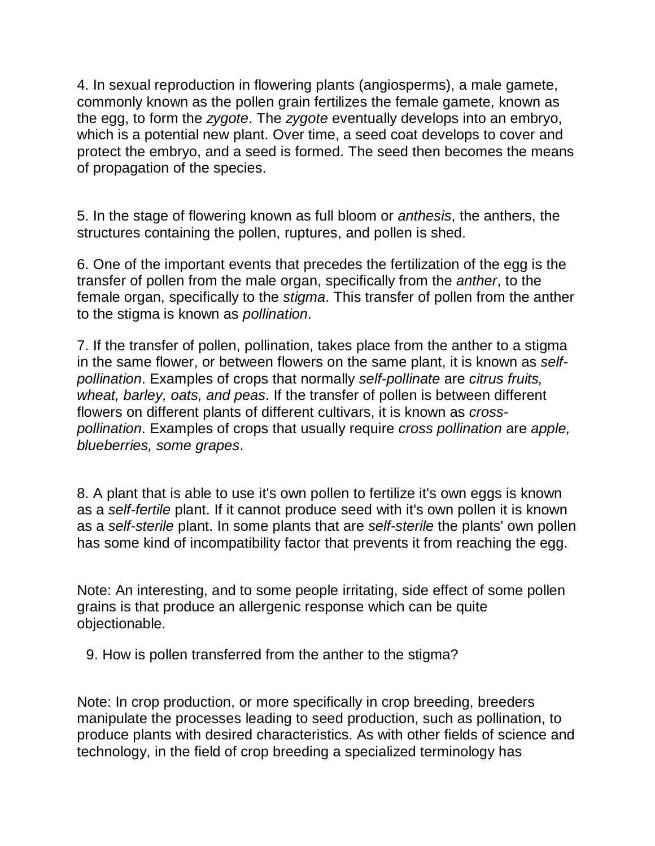4. In sexual reproduction in flowering plants (angiosperms), a male gamete, commonly known as the pollen grain fertilizes the female gamete, known as the egg, to form the *zygote*. The *zygote* eventually develops into an embryo, which is a potential new plant. Over time, a seed coat develops to cover and protect the embryo, and a seed is formed. The seed then becomes the means of propagation of the species.

5. In the stage of flowering known as full bloom or *anthesis*, the anthers, the structures containing the pollen, ruptures, and pollen is shed.

6. One of the important events that precedes the fertilization of the egg is the transfer of pollen from the male organ, specifically from the *anther*, to the female organ, specifically to the *stigma*. This transfer of pollen from the anther to the stigma is known as *pollination*.

7. If the transfer of pollen, pollination, takes place from the anther to a stigma in the same flower, or between flowers on the same plant, it is known as *selfpollination*. Examples of crops that normally *self-pollinate* are *citrus fruits, wheat, barley, oats, and peas*. If the transfer of pollen is between different flowers on different plants of different cultivars, it is known as *crosspollination*. Examples of crops that usually require *cross pollination* are *apple, blueberries, some grapes*.

8. A plant that is able to use it's own pollen to fertilize it's own eggs is known as a *self-fertile* plant. If it cannot produce seed with it's own pollen it is known as a *self-sterile* plant. In some plants that are *self-sterile* the plants' own pollen has some kind of incompatibility factor that prevents it from reaching the egg.

Note: An interesting, and to some people irritating, side effect of some pollen grains is that produce an allergenic response which can be quite objectionable.

9. How is pollen transferred from the anther to the stigma?

Note: In crop production, or more specifically in crop breeding, breeders manipulate the processes leading to seed production, such as pollination, to produce plants with desired characteristics. As with other fields of science and technology, in the field of crop breeding a specialized terminology has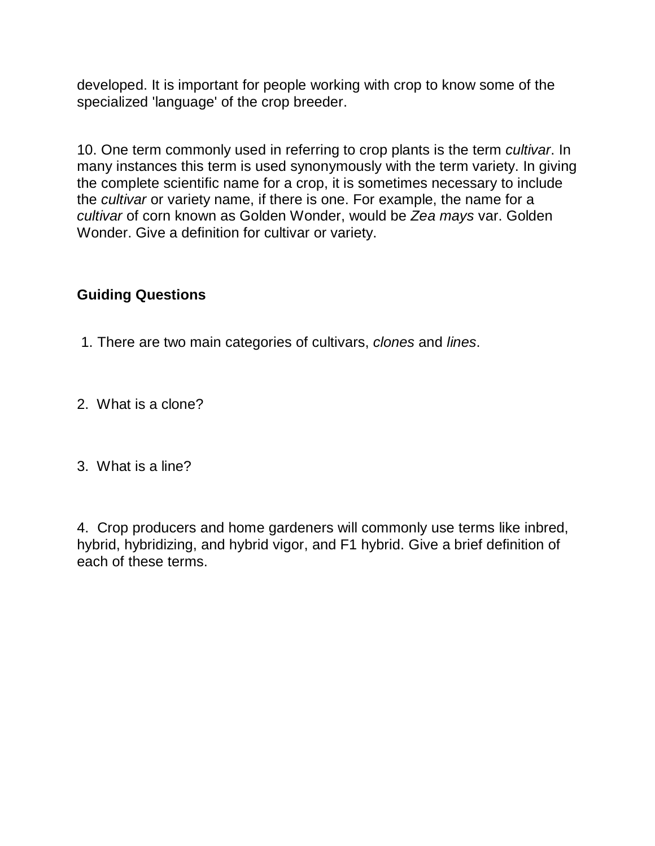developed. It is important for people working with crop to know some of the specialized 'language' of the crop breeder.

10. One term commonly used in referring to crop plants is the term *cultivar*. In many instances this term is used synonymously with the term variety. In giving the complete scientific name for a crop, it is sometimes necessary to include the *cultivar* or variety name, if there is one. For example, the name for a *cultivar* of corn known as Golden Wonder, would be *Zea mays* var. Golden Wonder. Give a definition for cultivar or variety.

# **Guiding Questions**

- 1. There are two main categories of cultivars, *clones* and *lines*.
- 2. What is a clone?
- 3. What is a line?

4. Crop producers and home gardeners will commonly use terms like inbred, hybrid, hybridizing, and hybrid vigor, and F1 hybrid. Give a brief definition of each of these terms.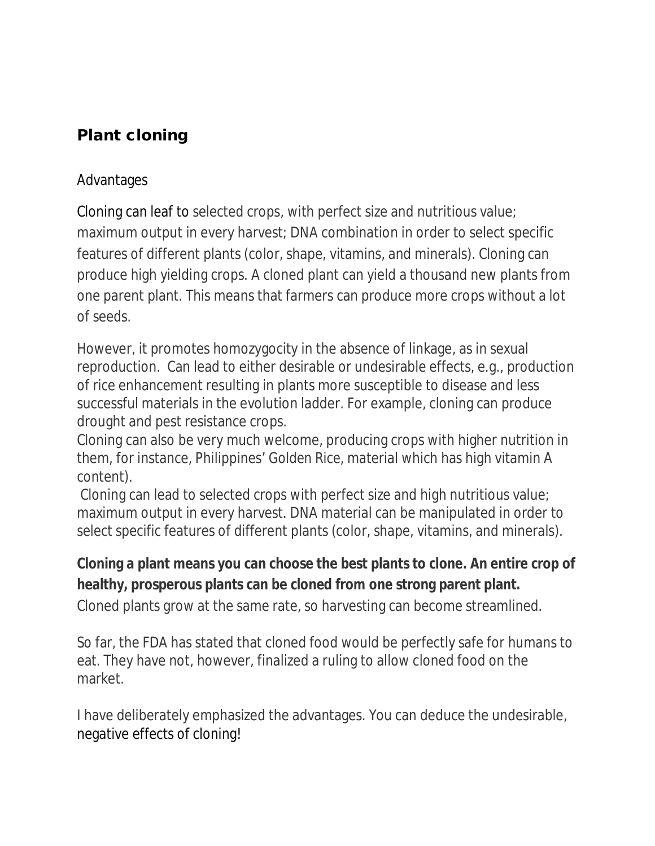# **Plant cloning**

# Advantages

Cloning can leaf to selected crops, with perfect size and nutritious value; maximum output in every harvest; DNA combination in order to select specific features of different plants (color, shape, vitamins, and minerals). Cloning can produce high yielding crops. A cloned plant can yield a thousand new plants from one parent plant. This means that farmers can produce more crops without a lot of seeds.

However, it promotes homozygocity in the absence of linkage, as in sexual reproduction. Can lead to either desirable or undesirable effects, e.g., production of rice enhancement resulting in plants more susceptible to disease and less successful materials in the evolution ladder. For example, cloning can produce drought and pest resistance crops.

Cloning can also be very much welcome, producing crops with higher nutrition in them, for instance, Philippines' *Golden Rice*, material which has high vitamin A content).

Cloning can lead to selected crops with perfect size and high nutritious value; maximum output in every harvest. DNA material can be manipulated in order to select specific features of different plants (color, shape, vitamins, and minerals).

# **Cloning a plant means you can choose the best plants to clone. An entire crop of healthy, prosperous plants can be cloned from one strong parent plant.**

Cloned plants grow at the same rate, so harvesting can become streamlined.

So far, the FDA has stated that cloned food would be perfectly safe for humans to eat. They have not, however, finalized a ruling to allow cloned food on the market.

I have deliberately emphasized the advantages. You can deduce the undesirable, negative effects of cloning!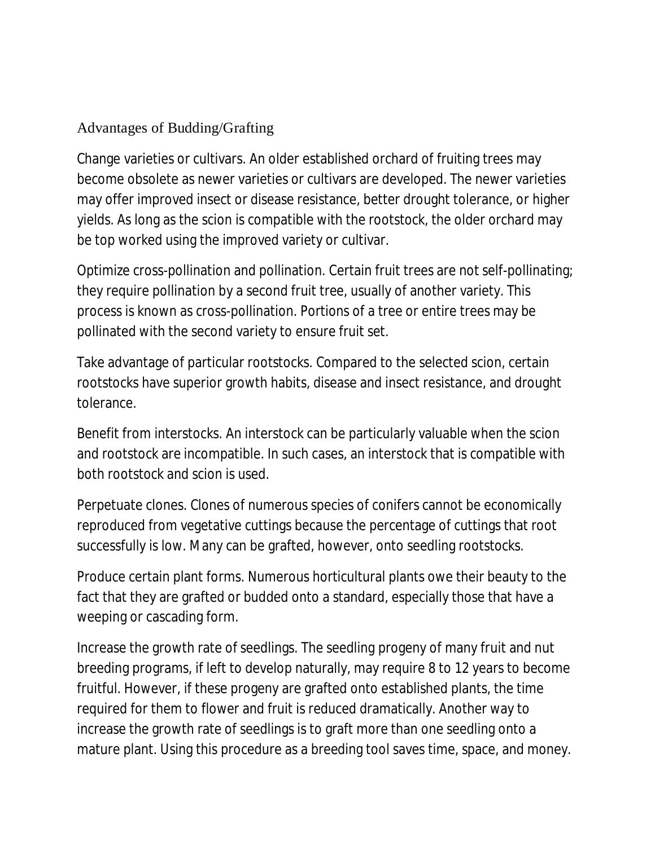# Advantages of Budding/Grafting

Change varieties or cultivars. An older established orchard of fruiting trees may become obsolete as newer varieties or cultivars are developed. The newer varieties may offer improved insect or disease resistance, better drought tolerance, or higher yields. As long as the scion is compatible with the rootstock, the older orchard may be top worked using the improved variety or cultivar.

Optimize cross-pollination and pollination. Certain fruit trees are not self-pollinating; they require pollination by a second fruit tree, usually of another variety. This process is known as cross-pollination. Portions of a tree or entire trees may be pollinated with the second variety to ensure fruit set.

Take advantage of particular rootstocks. Compared to the selected scion, certain rootstocks have superior growth habits, disease and insect resistance, and drought tolerance.

Benefit from interstocks. An interstock can be particularly valuable when the scion and rootstock are incompatible. In such cases, an interstock that is compatible with both rootstock and scion is used.

Perpetuate clones. Clones of numerous species of conifers cannot be economically reproduced from vegetative cuttings because the percentage of cuttings that root successfully is low. Many can be grafted, however, onto seedling rootstocks.

Produce certain plant forms. Numerous horticultural plants owe their beauty to the fact that they are grafted or budded onto a standard, especially those that have a weeping or cascading form.

Increase the growth rate of seedlings. The seedling progeny of many fruit and nut breeding programs, if left to develop naturally, may require 8 to 12 years to become fruitful. However, if these progeny are grafted onto established plants, the time required for them to flower and fruit is reduced dramatically. Another way to increase the growth rate of seedlings is to graft more than one seedling onto a mature plant. Using this procedure as a breeding tool saves time, space, and money.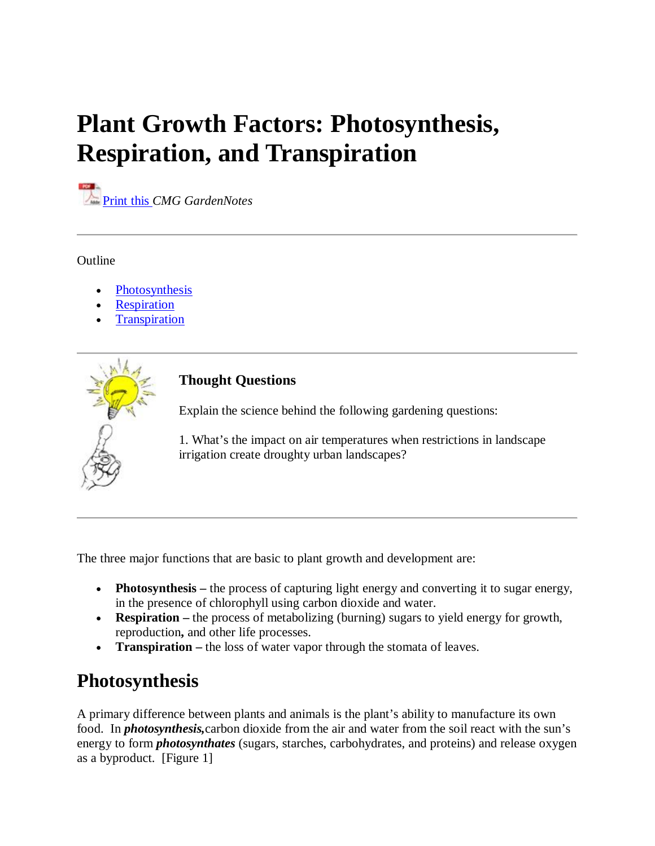# **Plant Growth Factors: Photosynthesis, Respiration, and Transpiration**

**Print this** *CMG GardenNotes* 

**Outline** 

- Photosynthesis
- **Respiration**
- **Transpiration**



### **Thought Questions**

Explain the science behind the following gardening questions:

1. What's the impact on air temperatures when restrictions in landscape irrigation create droughty urban landscapes?

The three major functions that are basic to plant growth and development are:

- **Photosynthesis** the process of capturing light energy and converting it to sugar energy, in the presence of chlorophyll using carbon dioxide and water.
- **Respiration** the process of metabolizing (burning) sugars to yield energy for growth, reproduction**,** and other life processes.
- **Transpiration –** the loss of water vapor through the stomata of leaves.

# **Photosynthesis**

A primary difference between plants and animals is the plant's ability to manufacture its own food. In *photosynthesis,*carbon dioxide from the air and water from the soil react with the sun's energy to form *photosynthates* (sugars, starches, carbohydrates, and proteins) and release oxygen as a byproduct. [Figure 1]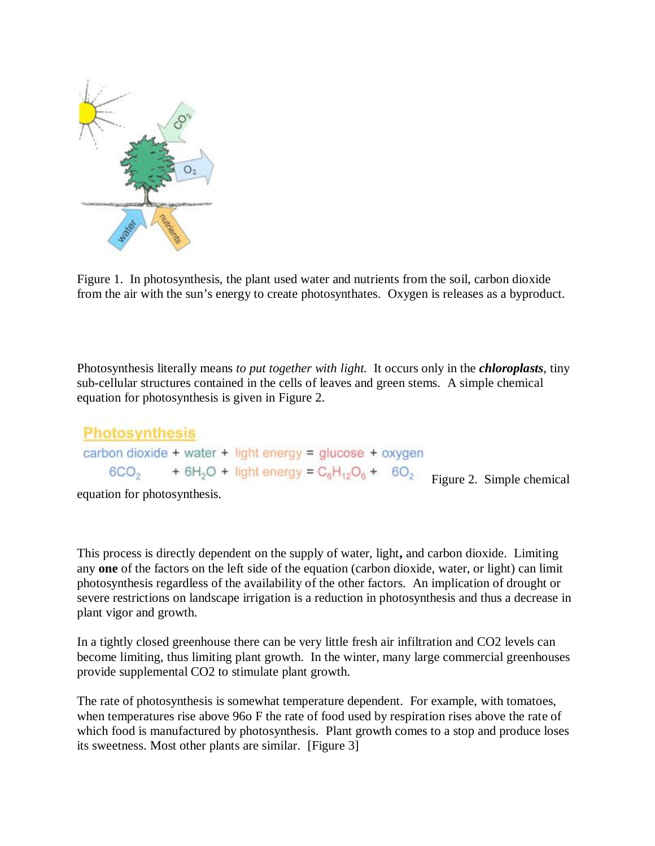

Figure 1. In photosynthesis, the plant used water and nutrients from the soil, carbon dioxide from the air with the sun's energy to create photosynthates. Oxygen is releases as a byproduct.

Photosynthesis literally means *to put together with light.* It occurs only in the *chloroplasts*, tiny sub-cellular structures contained in the cells of leaves and green stems. A simple chemical equation for photosynthesis is given in Figure 2.

```
Photosynthesis
carbon dioxide + water + light energy = glucose + oxygen
    6CO_2 + 6H_2O + light energy = C_6H_{12}O_6 + 6O_2 Figure 2. Simple chemical
```
equation for photosynthesis.

This process is directly dependent on the supply of water, light**,** and carbon dioxide. Limiting any **one** of the factors on the left side of the equation (carbon dioxide, water, or light) can limit photosynthesis regardless of the availability of the other factors. An implication of drought or severe restrictions on landscape irrigation is a reduction in photosynthesis and thus a decrease in plant vigor and growth.

In a tightly closed greenhouse there can be very little fresh air infiltration and CO2 levels can become limiting, thus limiting plant growth. In the winter, many large commercial greenhouses provide supplemental CO2 to stimulate plant growth.

The rate of photosynthesis is somewhat temperature dependent. For example, with tomatoes, when temperatures rise above 96o F the rate of food used by respiration rises above the rate of which food is manufactured by photosynthesis. Plant growth comes to a stop and produce loses its sweetness. Most other plants are similar. [Figure 3]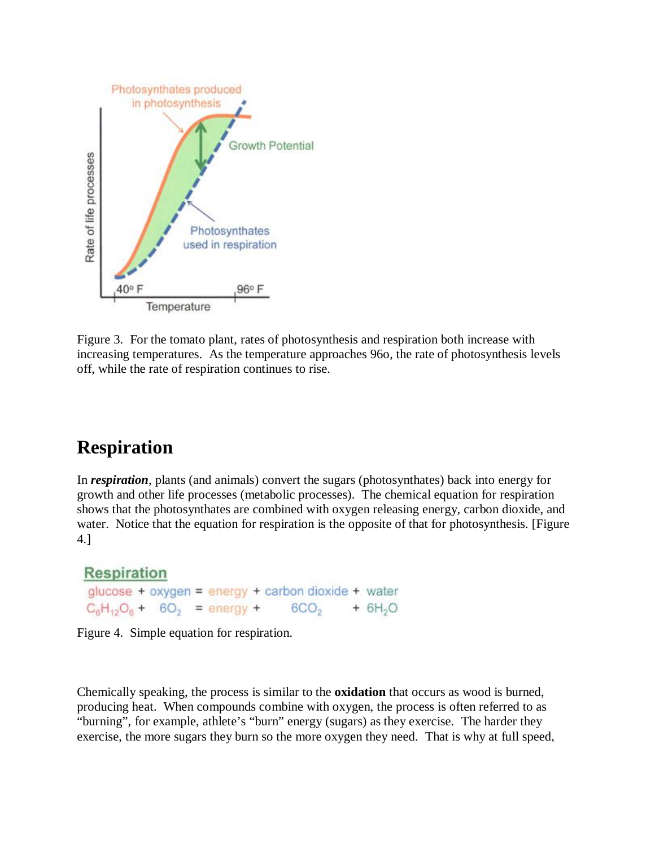

Figure 3. For the tomato plant, rates of photosynthesis and respiration both increase with increasing temperatures. As the temperature approaches 96o, the rate of photosynthesis levels off, while the rate of respiration continues to rise.

# **Respiration**

In *respiration*, plants (and animals) convert the sugars (photosynthates) back into energy for growth and other life processes (metabolic processes). The chemical equation for respiration shows that the photosynthates are combined with oxygen releasing energy, carbon dioxide, and water. Notice that the equation for respiration is the opposite of that for photosynthesis. [Figure 4.]

# **Respiration** glucose + oxygen = energy + carbon dioxide + water  $C_6H_{12}O_6 + 6O_2 =$  energy + 6CO<sub>2</sub> + 6H<sub>2</sub>O

Figure 4. Simple equation for respiration.

Chemically speaking, the process is similar to the **oxidation** that occurs as wood is burned, producing heat. When compounds combine with oxygen, the process is often referred to as "burning", for example, athlete's "burn" energy (sugars) as they exercise. The harder they exercise, the more sugars they burn so the more oxygen they need. That is why at full speed,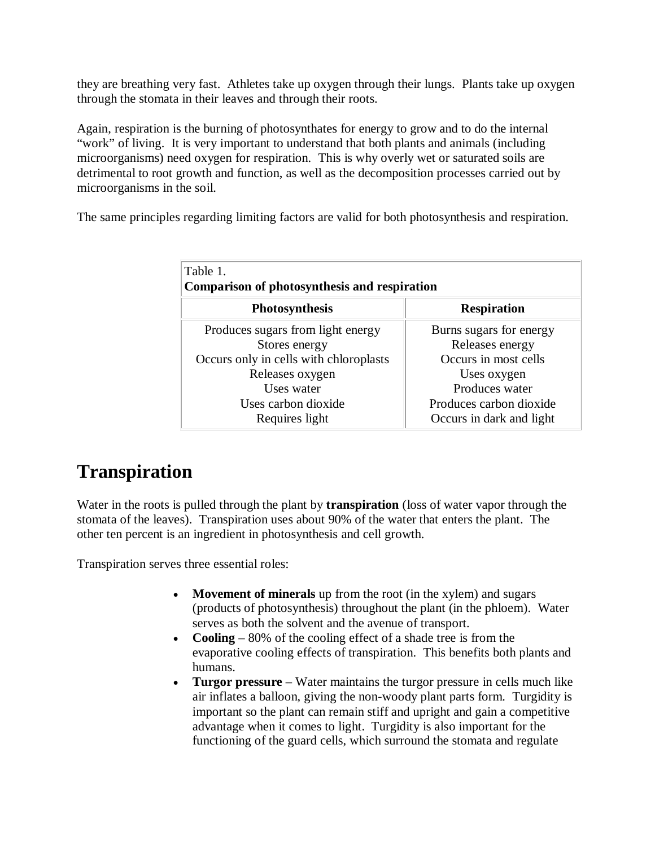they are breathing very fast. Athletes take up oxygen through their lungs. Plants take up oxygen through the stomata in their leaves and through their roots.

Again, respiration is the burning of photosynthates for energy to grow and to do the internal "work" of living. It is very important to understand that both plants and animals (including microorganisms) need oxygen for respiration. This is why overly wet or saturated soils are detrimental to root growth and function, as well as the decomposition processes carried out by microorganisms in the soil.

The same principles regarding limiting factors are valid for both photosynthesis and respiration.

| Table 1.<br>Comparison of photosynthesis and respiration |                          |
|----------------------------------------------------------|--------------------------|
| <b>Photosynthesis</b>                                    | <b>Respiration</b>       |
| Produces sugars from light energy                        | Burns sugars for energy  |
| Stores energy                                            | Releases energy          |
| Occurs only in cells with chloroplasts                   | Occurs in most cells     |
| Releases oxygen                                          | Uses oxygen              |
| Uses water                                               | Produces water           |
| Uses carbon dioxide                                      | Produces carbon dioxide  |
| Requires light                                           | Occurs in dark and light |

# **Transpiration**

Water in the roots is pulled through the plant by **transpiration** (loss of water vapor through the stomata of the leaves). Transpiration uses about 90% of the water that enters the plant. The other ten percent is an ingredient in photosynthesis and cell growth.

Transpiration serves three essential roles:

- **Movement of minerals** up from the root (in the xylem) and sugars (products of photosynthesis) throughout the plant (in the phloem). Water serves as both the solvent and the avenue of transport.
- **Cooling**  80% of the cooling effect of a shade tree is from the evaporative cooling effects of transpiration. This benefits both plants and humans.
- **Turgor pressure** Water maintains the turgor pressure in cells much like air inflates a balloon, giving the non-woody plant parts form. Turgidity is important so the plant can remain stiff and upright and gain a competitive advantage when it comes to light. Turgidity is also important for the functioning of the guard cells, which surround the stomata and regulate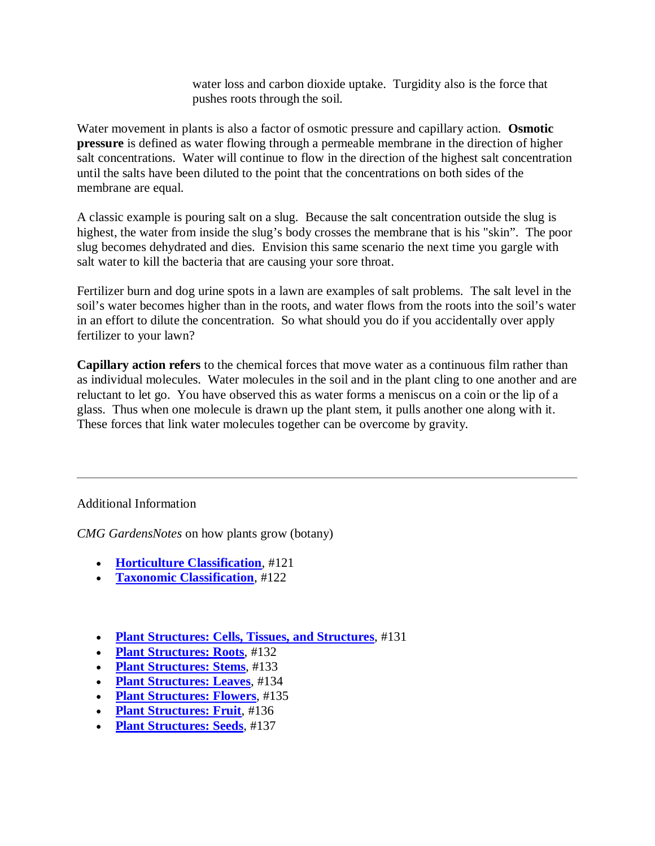water loss and carbon dioxide uptake. Turgidity also is the force that pushes roots through the soil.

Water movement in plants is also a factor of osmotic pressure and capillary action. **Osmotic pressure** is defined as water flowing through a permeable membrane in the direction of higher salt concentrations. Water will continue to flow in the direction of the highest salt concentration until the salts have been diluted to the point that the concentrations on both sides of the membrane are equal.

A classic example is pouring salt on a slug. Because the salt concentration outside the slug is highest, the water from inside the slug's body crosses the membrane that is his "skin". The poor slug becomes dehydrated and dies. Envision this same scenario the next time you gargle with salt water to kill the bacteria that are causing your sore throat.

Fertilizer burn and dog urine spots in a lawn are examples of salt problems. The salt level in the soil's water becomes higher than in the roots, and water flows from the roots into the soil's water in an effort to dilute the concentration. So what should you do if you accidentally over apply fertilizer to your lawn?

**Capillary action refers** to the chemical forces that move water as a continuous film rather than as individual molecules. Water molecules in the soil and in the plant cling to one another and are reluctant to let go. You have observed this as water forms a meniscus on a coin or the lip of a glass. Thus when one molecule is drawn up the plant stem, it pulls another one along with it. These forces that link water molecules together can be overcome by gravity.

### Additional Information

*CMG GardensNotes* on how plants grow (botany)

- **Horticulture Classification**, #121
- **Taxonomic Classification**, #122
- **Plant Structures: Cells, Tissues, and Structures**, #131
- **Plant Structures: Roots**, #132
- **Plant Structures: Stems**, #133
- **Plant Structures: Leaves**, #134
- **Plant Structures: Flowers**, #135
- **Plant Structures: Fruit**, #136
- **Plant Structures: Seeds**, #137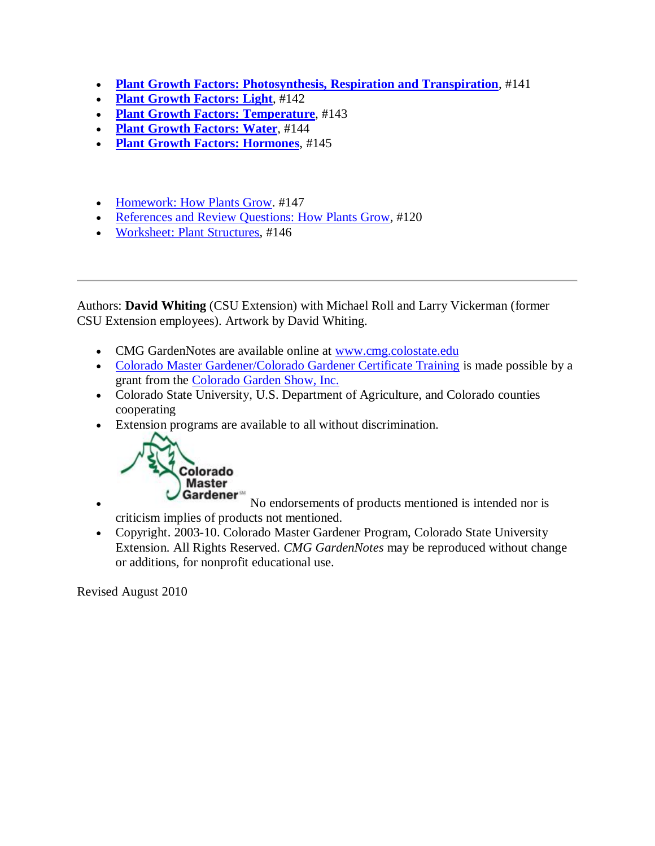- **Plant Growth Factors: Photosynthesis, Respiration and Transpiration**, #141
- **Plant Growth Factors: Light**, #142
- **Plant Growth Factors: Temperature**, #143
- **Plant Growth Factors: Water**, #144
- **Plant Growth Factors: Hormones**, #145
- Homework: How Plants Grow. #147
- References and Review Questions: How Plants Grow, #120
- Worksheet: Plant Structures, #146

Authors: **David Whiting** (CSU Extension) with Michael Roll and Larry Vickerman (former CSU Extension employees). Artwork by David Whiting.

- CMG GardenNotes are available online at www.cmg.colostate.edu
- Colorado Master Gardener/Colorado Gardener Certificate Training is made possible by a grant from the Colorado Garden Show, Inc.
- Colorado State University, U.S. Department of Agriculture, and Colorado counties cooperating
- Extension programs are available to all without discrimination.



• Cardener<sup>®</sup> No endorsements of products mentioned is intended nor is criticism implies of products not mentioned.

 Copyright. 2003-10. Colorado Master Gardener Program, Colorado State University Extension. All Rights Reserved. *CMG GardenNotes* may be reproduced without change or additions, for nonprofit educational use.

Revised August 2010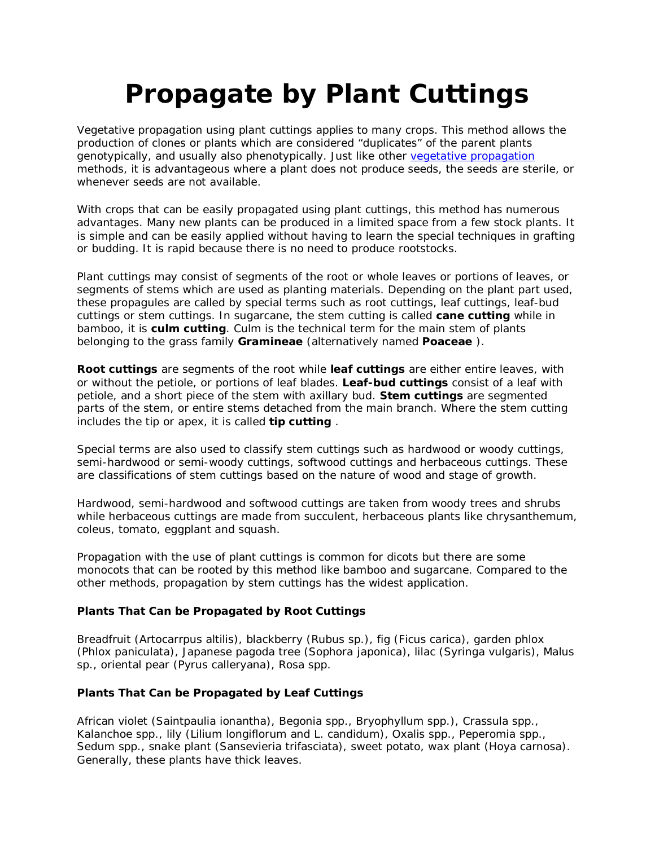# **Propagate by Plant Cuttings**

Vegetative propagation using plant cuttings applies to many crops. This method allows the production of clones or plants which are considered "duplicates" of the parent plants genotypically, and usually also phenotypically. Just like other vegetative propagation methods, it is advantageous where a plant does not produce seeds, the seeds are sterile, or whenever seeds are not available.

With crops that can be easily propagated using plant cuttings, this method has numerous advantages. Many new plants can be produced in a limited space from a few stock plants. It is simple and can be easily applied without having to learn the special techniques in grafting or budding. It is rapid because there is no need to produce rootstocks.

Plant cuttings may consist of segments of the root or whole leaves or portions of leaves, or segments of stems which are used as planting materials. Depending on the plant part used, these propagules are called by special terms such as root cuttings, leaf cuttings, leaf-bud cuttings or stem cuttings. In sugarcane, the stem cutting is called **cane cutting** while in bamboo, it is **culm cutting**. Culm is the technical term for the main stem of plants belonging to the grass family **Gramineae** (alternatively named **Poaceae** ).

**Root cuttings** are segments of the root while **leaf cuttings** are either entire leaves, with or without the petiole, or portions of leaf blades. **Leaf-bud cuttings** consist of a leaf with petiole, and a short piece of the stem with axillary bud. **Stem cuttings** are segmented parts of the stem, or entire stems detached from the main branch. Where the stem cutting includes the tip or apex, it is called **tip cutting** .

Special terms are also used to classify stem cuttings such as hardwood or woody cuttings, semi-hardwood or semi-woody cuttings, softwood cuttings and herbaceous cuttings. These are classifications of stem cuttings based on the nature of wood and stage of growth.

Hardwood, semi-hardwood and softwood cuttings are taken from woody trees and shrubs while herbaceous cuttings are made from succulent, herbaceous plants like chrysanthemum, coleus, tomato, eggplant and squash.

Propagation with the use of plant cuttings is common for dicots but there are some monocots that can be rooted by this method like bamboo and sugarcane. Compared to the other methods, propagation by stem cuttings has the widest application.

### **Plants That Can be Propagated by Root Cuttings**

Breadfruit (*Artocarrpus altilis*), blackberry (*Rubus* sp.), fig (*Ficus carica*), garden phlox (*Phlox paniculata*), Japanese pagoda tree (*Sophora japonica*), lilac (*Syringa vulgaris*), *Malus* sp., oriental pear (*Pyrus calleryana*), *Rosa* spp.

### **Plants That Can be Propagated by Leaf Cuttings**

African violet (*Saintpaulia ionantha*), *Begonia* spp., *Bryophyllum* spp.), *Crassula* spp., *Kalanchoe* spp., lily (*Lilium longiflorum* and *L. candidum*), *Oxalis* spp., *Peperomia* spp., *Sedum* spp., snake plant (*Sansevieria trifasciata*), sweet potato, wax plant (*Hoya carnosa*). Generally, these plants have thick leaves.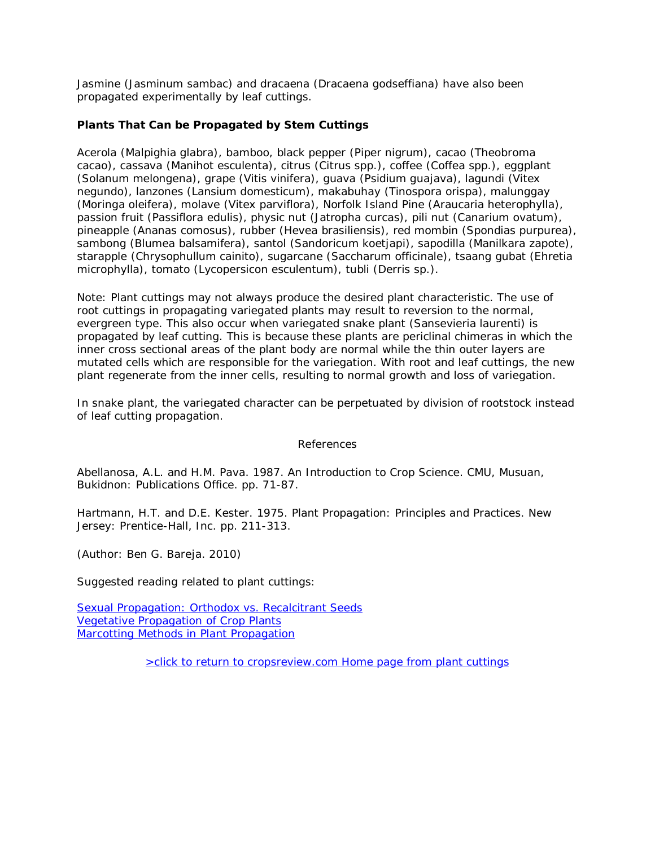Jasmine (*Jasminum sambac*) and dracaena (*Dracaena godseffiana*) have also been propagated experimentally by leaf cuttings.

### **Plants That Can be Propagated by Stem Cuttings**

Acerola (*Malpighia glabra*), bamboo, black pepper (*Piper nigrum*), cacao (*Theobroma cacao*), cassava (*Manihot esculenta*), citrus (*Citrus* spp.), coffee (*Coffea* spp.), eggplant (*Solanum melongena*), grape (*Vitis vinifera*), guava (*Psidium guajava*), lagundi (*Vitex negundo*), lanzones (*Lansium domesticum*), makabuhay (*Tinospora orispa*), malunggay (*Moringa oleifera*), molave (*Vitex parviflora*), Norfolk Island Pine (*Araucaria heterophylla*), passion fruit (*Passiflora edulis*), physic nut (*Jatropha curcas*), pili nut (*Canarium ovatum*), pineapple (*Ananas comosus*), rubber (*Hevea brasiliensis*), red mombin (*Spondias purpurea*), sambong (*Blumea balsamifera*), santol (*Sandoricum koetjapi*), sapodilla (*Manilkara zapote*), starapple (*Chrysophullum cainito*), sugarcane (*Saccharum officinale*), tsaang gubat (*Ehretia microphylla*), tomato (*Lycopersicon esculentum*), tubli (*Derris sp.*).

Note: Plant cuttings may not always produce the desired plant characteristic. The use of root cuttings in propagating variegated plants may result to reversion to the normal, evergreen type. This also occur when variegated snake plant (Sansevieria laurenti) is propagated by leaf cutting. This is because these plants are periclinal chimeras in which the inner cross sectional areas of the plant body are normal while the thin outer layers are mutated cells which are responsible for the variegation. With root and leaf cuttings, the new plant regenerate from the inner cells, resulting to normal growth and loss of variegation.

In snake plant, the variegated character can be perpetuated by division of rootstock instead of leaf cutting propagation.

#### References

Abellanosa, A.L. and H.M. Pava. 1987. An Introduction to Crop Science. CMU, Musuan, Bukidnon: Publications Office. pp. 71-87.

Hartmann, H.T. and D.E. Kester. 1975. Plant Propagation: Principles and Practices. New Jersey: Prentice-Hall, Inc. pp. 211-313.

(Author: Ben G. Bareja. 2010)

Suggested reading related to plant cuttings:

Sexual Propagation: Orthodox vs. Recalcitrant Seeds Vegetative Propagation of Crop Plants Marcotting Methods in Plant Propagation

>click to return to cropsreview.com Home page from plant cuttings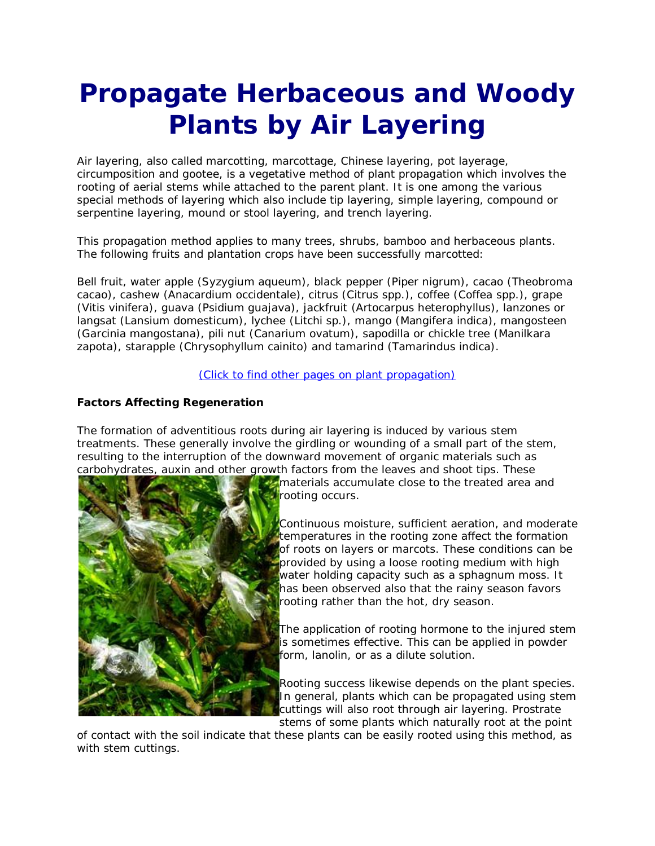# **Propagate Herbaceous and Woody Plants by Air Layering**

Air layering, also called marcotting, marcottage, Chinese layering, pot layerage, circumposition and gootee, is a vegetative method of plant propagation which involves the rooting of aerial stems while attached to the parent plant. It is one among the various special methods of layering which also include tip layering, simple layering, compound or serpentine layering, mound or stool layering, and trench layering.

This propagation method applies to many trees, shrubs, bamboo and herbaceous plants. The following fruits and plantation crops have been successfully marcotted:

Bell fruit, water apple (*Syzygium aqueum*), black pepper (*Piper nigrum*), cacao (*Theobroma cacao*), cashew (*Anacardium occidentale*), citrus (*Citrus* spp.), coffee (*Coffea* spp.), grape (*Vitis vinifera*), guava (*Psidium guajava*), jackfruit (*Artocarpus heterophyllus*), lanzones or langsat (*Lansium domesticum*), lychee (*Litchi* sp.), mango (*Mangifera indica*), mangosteen (*Garcinia mangostana*), pili nut (*Canarium ovatum*), sapodilla or chickle tree (*Manilkara zapota*), starapple (*Chrysophyllum cainito*) and tamarind (*Tamarindus indica*).

#### (Click to find other pages on plant propagation)

### **Factors Affecting Regeneration**

The formation of adventitious roots during air layering is induced by various stem treatments. These generally involve the girdling or wounding of a small part of the stem, resulting to the interruption of the downward movement of organic materials such as carbohydrates, auxin and other growth factors from the leaves and shoot tips. These



materials accumulate close to the treated area and rooting occurs.

Continuous moisture, sufficient aeration, and moderate temperatures in the rooting zone affect the formation of roots on layers or marcots. These conditions can be provided by using a loose rooting medium with high water holding capacity such as a sphagnum moss. It has been observed also that the rainy season favors rooting rather than the hot, dry season.

The application of rooting hormone to the injured stem is sometimes effective. This can be applied in powder form, lanolin, or as a dilute solution.

Rooting success likewise depends on the plant species. In general, plants which can be propagated using stem cuttings will also root through air layering. Prostrate stems of some plants which naturally root at the point

of contact with the soil indicate that these plants can be easily rooted using this method, as with stem cuttings.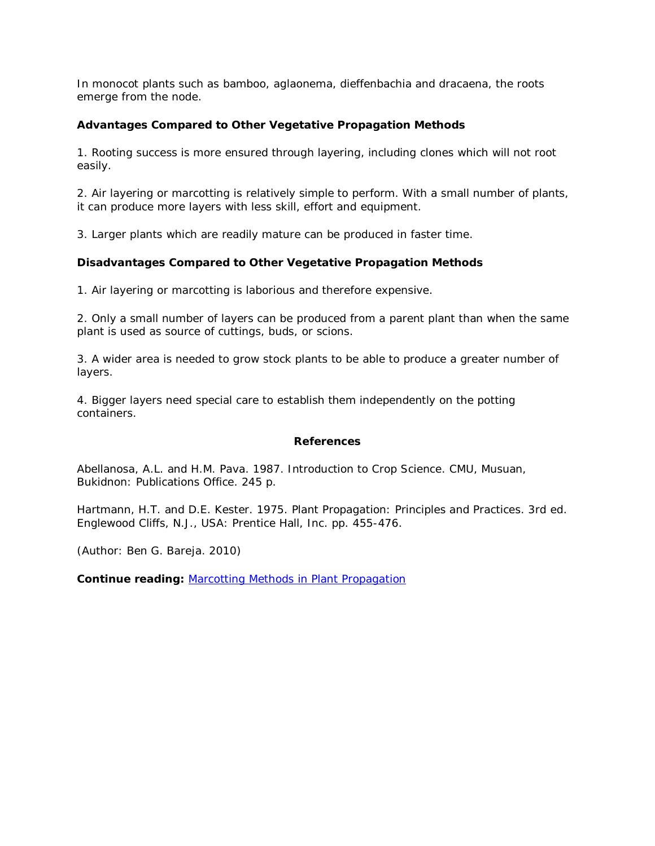In monocot plants such as bamboo, aglaonema, dieffenbachia and dracaena, the roots emerge from the node.

### **Advantages Compared to Other Vegetative Propagation Methods**

1. Rooting success is more ensured through layering, including clones which will not root easily.

2. Air layering or marcotting is relatively simple to perform. With a small number of plants, it can produce more layers with less skill, effort and equipment.

3. Larger plants which are readily mature can be produced in faster time.

### **Disadvantages Compared to Other Vegetative Propagation Methods**

1. Air layering or marcotting is laborious and therefore expensive.

2. Only a small number of layers can be produced from a parent plant than when the same plant is used as source of cuttings, buds, or scions.

3. A wider area is needed to grow stock plants to be able to produce a greater number of layers.

4. Bigger layers need special care to establish them independently on the potting containers.

#### **References**

Abellanosa, A.L. and H.M. Pava. 1987. Introduction to Crop Science. CMU, Musuan, Bukidnon: Publications Office. 245 p.

Hartmann, H.T. and D.E. Kester. 1975. Plant Propagation: Principles and Practices. 3rd ed. Englewood Cliffs, N.J., USA: Prentice Hall, Inc. pp. 455-476.

(Author: Ben G. Bareja. 2010)

**Continue reading:** Marcotting Methods in Plant Propagation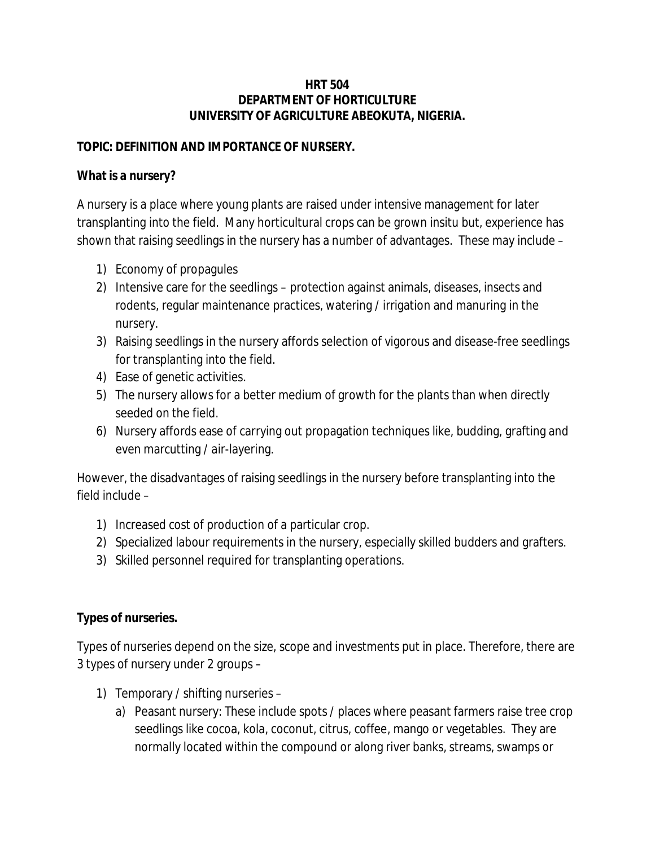### **HRT 504 DEPARTMENT OF HORTICULTURE UNIVERSITY OF AGRICULTURE ABEOKUTA, NIGERIA.**

### **TOPIC: DEFINITION AND IMPORTANCE OF NURSERY.**

## **What is a nursery?**

A nursery is a place where young plants are raised under intensive management for later transplanting into the field. Many horticultural crops can be grown insitu but, experience has shown that raising seedlings in the nursery has a number of advantages. These may include –

- 1) Economy of propagules
- 2) Intensive care for the seedlings protection against animals, diseases, insects and rodents, regular maintenance practices, watering / irrigation and manuring in the nursery.
- 3) Raising seedlings in the nursery affords selection of vigorous and disease-free seedlings for transplanting into the field.
- 4) Ease of genetic activities.
- 5) The nursery allows for a better medium of growth for the plants than when directly seeded on the field.
- 6) Nursery affords ease of carrying out propagation techniques like, budding, grafting and even marcutting / air-layering.

However, the disadvantages of raising seedlings in the nursery before transplanting into the field include –

- 1) Increased cost of production of a particular crop.
- 2) Specialized labour requirements in the nursery, especially skilled budders and grafters.
- 3) Skilled personnel required for transplanting operations.

### **Types of nurseries.**

Types of nurseries depend on the size, scope and investments put in place. Therefore, there are 3 types of nursery under 2 groups –

- 1) Temporary / shifting nurseries
	- a) Peasant nursery: These include spots / places where peasant farmers raise tree crop seedlings like cocoa, kola, coconut, citrus, coffee, mango or vegetables. They are normally located within the compound or along river banks, streams, swamps or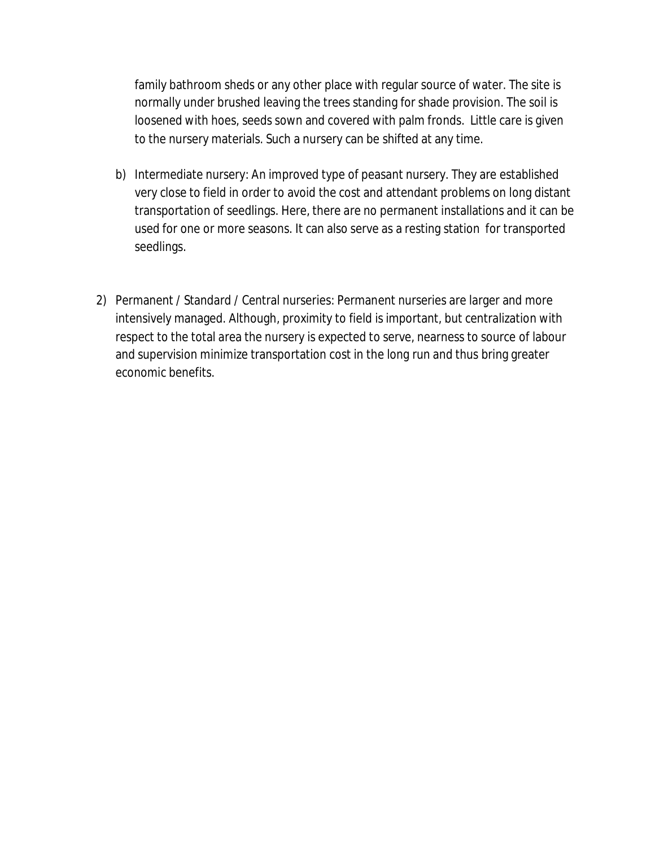family bathroom sheds or any other place with regular source of water. The site is normally under brushed leaving the trees standing for shade provision. The soil is loosened with hoes, seeds sown and covered with palm fronds. Little care is given to the nursery materials. Such a nursery can be shifted at any time.

- b) Intermediate nursery: An improved type of peasant nursery. They are established very close to field in order to avoid the cost and attendant problems on long distant transportation of seedlings. Here, there are no permanent installations and it can be used for one or more seasons. It can also serve as a resting station for transported seedlings.
- 2) Permanent / Standard / Central nurseries: Permanent nurseries are larger and more intensively managed. Although, proximity to field is important, but centralization with respect to the total area the nursery is expected to serve, nearness to source of labour and supervision minimize transportation cost in the long run and thus bring greater economic benefits.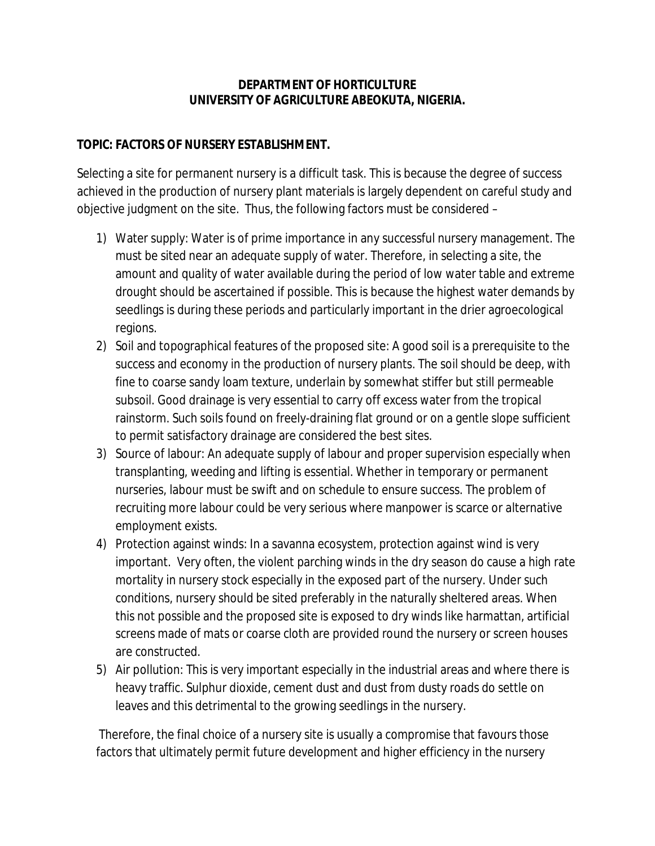## **DEPARTMENT OF HORTICULTURE UNIVERSITY OF AGRICULTURE ABEOKUTA, NIGERIA.**

### **TOPIC: FACTORS OF NURSERY ESTABLISHMENT.**

Selecting a site for permanent nursery is a difficult task. This is because the degree of success achieved in the production of nursery plant materials is largely dependent on careful study and objective judgment on the site. Thus, the following factors must be considered –

- 1) Water supply: Water is of prime importance in any successful nursery management. The must be sited near an adequate supply of water. Therefore, in selecting a site, the amount and quality of water available during the period of low water table and extreme drought should be ascertained if possible. This is because the highest water demands by seedlings is during these periods and particularly important in the drier agroecological regions.
- 2) Soil and topographical features of the proposed site: A good soil is a prerequisite to the success and economy in the production of nursery plants. The soil should be deep, with fine to coarse sandy loam texture, underlain by somewhat stiffer but still permeable subsoil. Good drainage is very essential to carry off excess water from the tropical rainstorm. Such soils found on freely-draining flat ground or on a gentle slope sufficient to permit satisfactory drainage are considered the best sites.
- 3) Source of labour: An adequate supply of labour and proper supervision especially when transplanting, weeding and lifting is essential. Whether in temporary or permanent nurseries, labour must be swift and on schedule to ensure success. The problem of recruiting more labour could be very serious where manpower is scarce or alternative employment exists.
- 4) Protection against winds: In a savanna ecosystem, protection against wind is very important. Very often, the violent parching winds in the dry season do cause a high rate mortality in nursery stock especially in the exposed part of the nursery. Under such conditions, nursery should be sited preferably in the naturally sheltered areas. When this not possible and the proposed site is exposed to dry winds like harmattan, artificial screens made of mats or coarse cloth are provided round the nursery or screen houses are constructed.
- 5) Air pollution: This is very important especially in the industrial areas and where there is heavy traffic. Sulphur dioxide, cement dust and dust from dusty roads do settle on leaves and this detrimental to the growing seedlings in the nursery.

Therefore, the final choice of a nursery site is usually a compromise that favours those factors that ultimately permit future development and higher efficiency in the nursery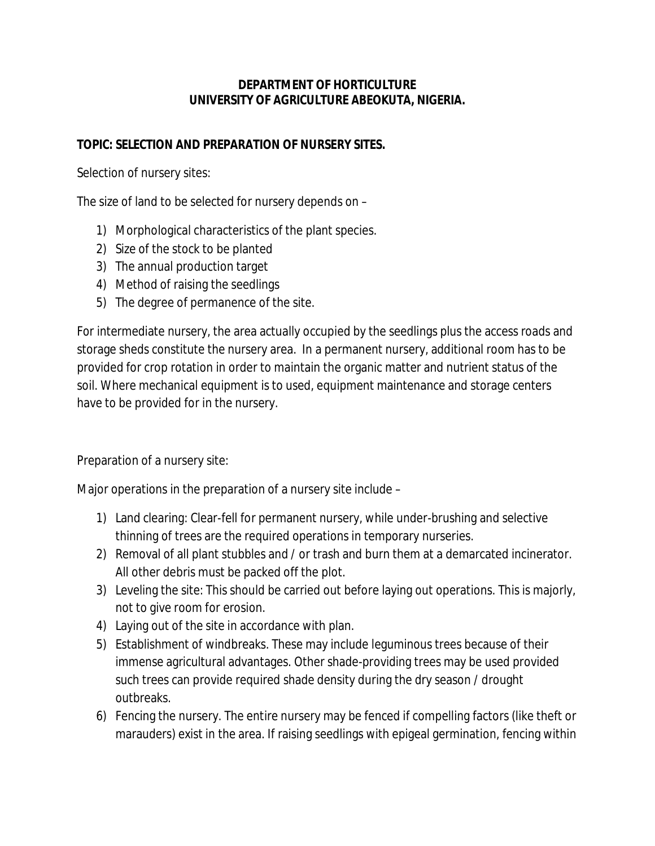## **DEPARTMENT OF HORTICULTURE UNIVERSITY OF AGRICULTURE ABEOKUTA, NIGERIA.**

### **TOPIC: SELECTION AND PREPARATION OF NURSERY SITES.**

Selection of nursery sites:

The size of land to be selected for nursery depends on –

- 1) Morphological characteristics of the plant species.
- 2) Size of the stock to be planted
- 3) The annual production target
- 4) Method of raising the seedlings
- 5) The degree of permanence of the site.

For intermediate nursery, the area actually occupied by the seedlings plus the access roads and storage sheds constitute the nursery area. In a permanent nursery, additional room has to be provided for crop rotation in order to maintain the organic matter and nutrient status of the soil. Where mechanical equipment is to used, equipment maintenance and storage centers have to be provided for in the nursery.

Preparation of a nursery site:

Major operations in the preparation of a nursery site include –

- 1) Land clearing: Clear-fell for permanent nursery, while under-brushing and selective thinning of trees are the required operations in temporary nurseries.
- 2) Removal of all plant stubbles and / or trash and burn them at a demarcated incinerator. All other debris must be packed off the plot.
- 3) Leveling the site: This should be carried out before laying out operations. This is majorly, not to give room for erosion.
- 4) Laying out of the site in accordance with plan.
- 5) Establishment of windbreaks. These may include leguminous trees because of their immense agricultural advantages. Other shade-providing trees may be used provided such trees can provide required shade density during the dry season / drought outbreaks.
- 6) Fencing the nursery. The entire nursery may be fenced if compelling factors (like theft or marauders) exist in the area. If raising seedlings with epigeal germination, fencing within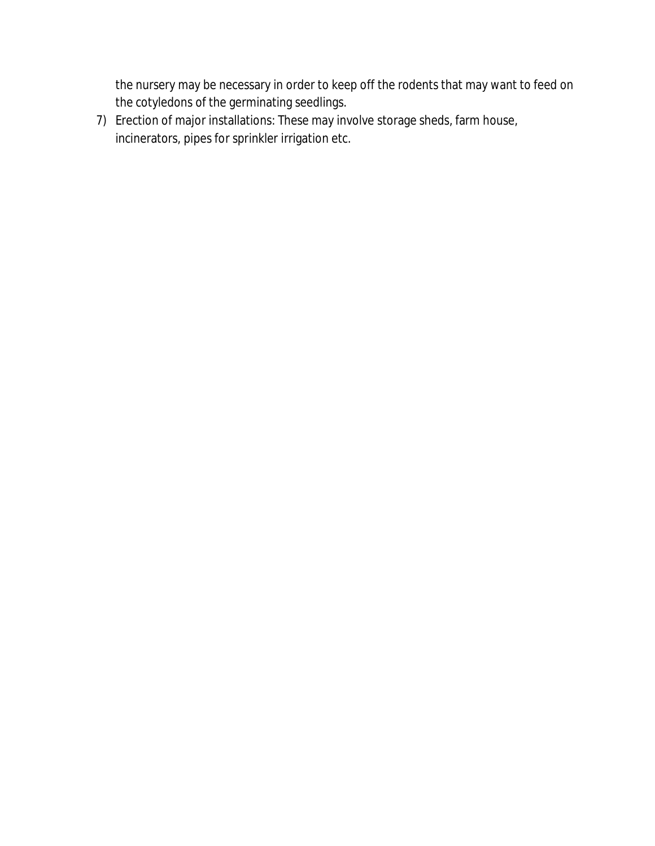the nursery may be necessary in order to keep off the rodents that may want to feed on the cotyledons of the germinating seedlings.

7) Erection of major installations: These may involve storage sheds, farm house, incinerators, pipes for sprinkler irrigation etc.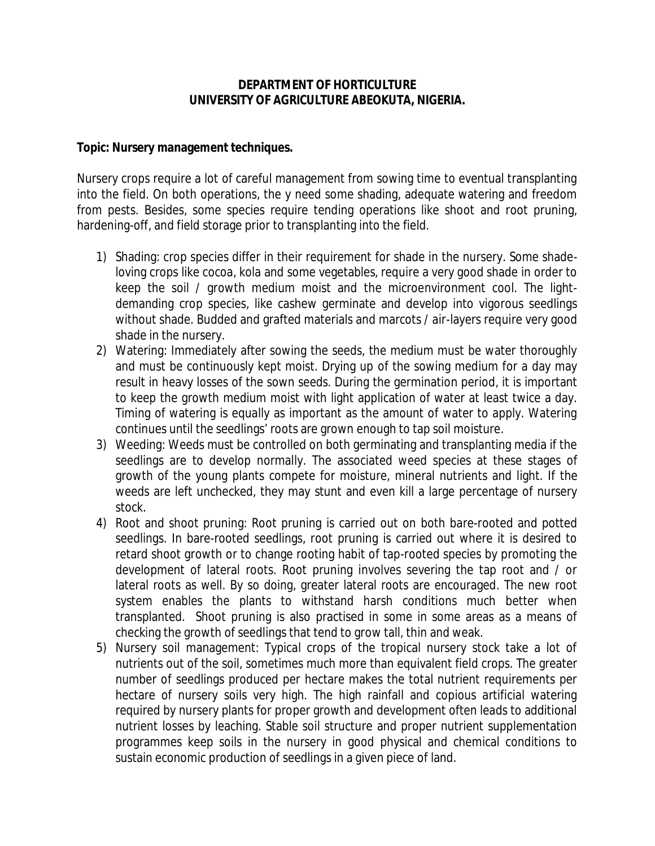### **DEPARTMENT OF HORTICULTURE UNIVERSITY OF AGRICULTURE ABEOKUTA, NIGERIA.**

### **Topic: Nursery management techniques.**

Nursery crops require a lot of careful management from sowing time to eventual transplanting into the field. On both operations, the y need some shading, adequate watering and freedom from pests. Besides, some species require tending operations like shoot and root pruning, hardening-off, and field storage prior to transplanting into the field.

- 1) Shading: crop species differ in their requirement for shade in the nursery. Some shadeloving crops like cocoa, kola and some vegetables, require a very good shade in order to keep the soil / growth medium moist and the microenvironment cool. The lightdemanding crop species, like cashew germinate and develop into vigorous seedlings without shade. Budded and grafted materials and marcots / air-layers require very good shade in the nursery.
- 2) Watering: Immediately after sowing the seeds, the medium must be water thoroughly and must be continuously kept moist. Drying up of the sowing medium for a day may result in heavy losses of the sown seeds. During the germination period, it is important to keep the growth medium moist with light application of water at least twice a day. Timing of watering is equally as important as the amount of water to apply. Watering continues until the seedlings' roots are grown enough to tap soil moisture.
- 3) Weeding: Weeds must be controlled on both germinating and transplanting media if the seedlings are to develop normally. The associated weed species at these stages of growth of the young plants compete for moisture, mineral nutrients and light. If the weeds are left unchecked, they may stunt and even kill a large percentage of nursery stock.
- 4) Root and shoot pruning: Root pruning is carried out on both bare-rooted and potted seedlings. In bare-rooted seedlings, root pruning is carried out where it is desired to retard shoot growth or to change rooting habit of tap-rooted species by promoting the development of lateral roots. Root pruning involves severing the tap root and / or lateral roots as well. By so doing, greater lateral roots are encouraged. The new root system enables the plants to withstand harsh conditions much better when transplanted. Shoot pruning is also practised in some in some areas as a means of checking the growth of seedlings that tend to grow tall, thin and weak.
- 5) Nursery soil management: Typical crops of the tropical nursery stock take a lot of nutrients out of the soil, sometimes much more than equivalent field crops. The greater number of seedlings produced per hectare makes the total nutrient requirements per hectare of nursery soils very high. The high rainfall and copious artificial watering required by nursery plants for proper growth and development often leads to additional nutrient losses by leaching. Stable soil structure and proper nutrient supplementation programmes keep soils in the nursery in good physical and chemical conditions to sustain economic production of seedlings in a given piece of land.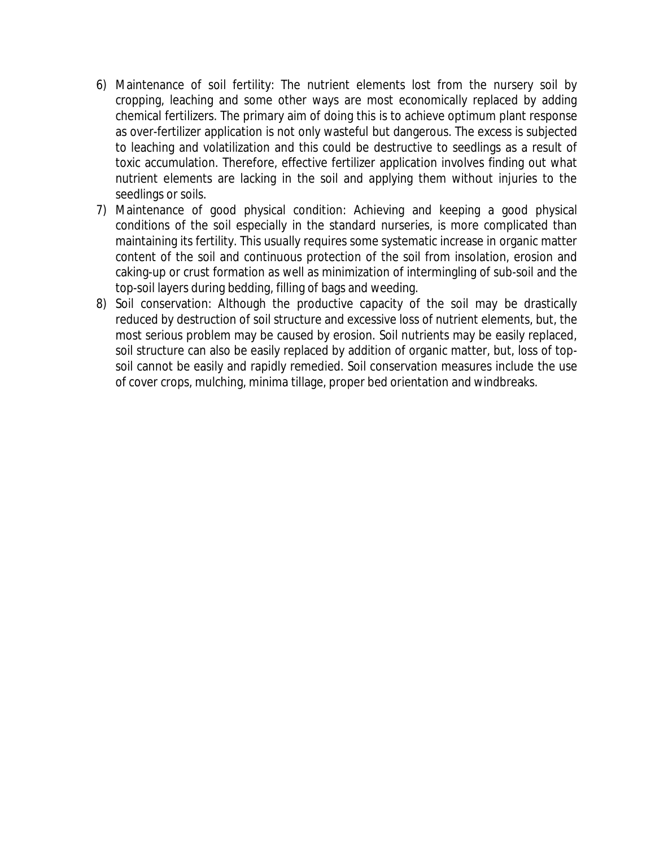- 6) Maintenance of soil fertility: The nutrient elements lost from the nursery soil by cropping, leaching and some other ways are most economically replaced by adding chemical fertilizers. The primary aim of doing this is to achieve optimum plant response as over-fertilizer application is not only wasteful but dangerous. The excess is subjected to leaching and volatilization and this could be destructive to seedlings as a result of toxic accumulation. Therefore, effective fertilizer application involves finding out what nutrient elements are lacking in the soil and applying them without injuries to the seedlings or soils.
- 7) Maintenance of good physical condition: Achieving and keeping a good physical conditions of the soil especially in the standard nurseries, is more complicated than maintaining its fertility. This usually requires some systematic increase in organic matter content of the soil and continuous protection of the soil from insolation, erosion and caking-up or crust formation as well as minimization of intermingling of sub-soil and the top-soil layers during bedding, filling of bags and weeding.
- 8) Soil conservation: Although the productive capacity of the soil may be drastically reduced by destruction of soil structure and excessive loss of nutrient elements, but, the most serious problem may be caused by erosion. Soil nutrients may be easily replaced, soil structure can also be easily replaced by addition of organic matter, but, loss of topsoil cannot be easily and rapidly remedied. Soil conservation measures include the use of cover crops, mulching, minima tillage, proper bed orientation and windbreaks.